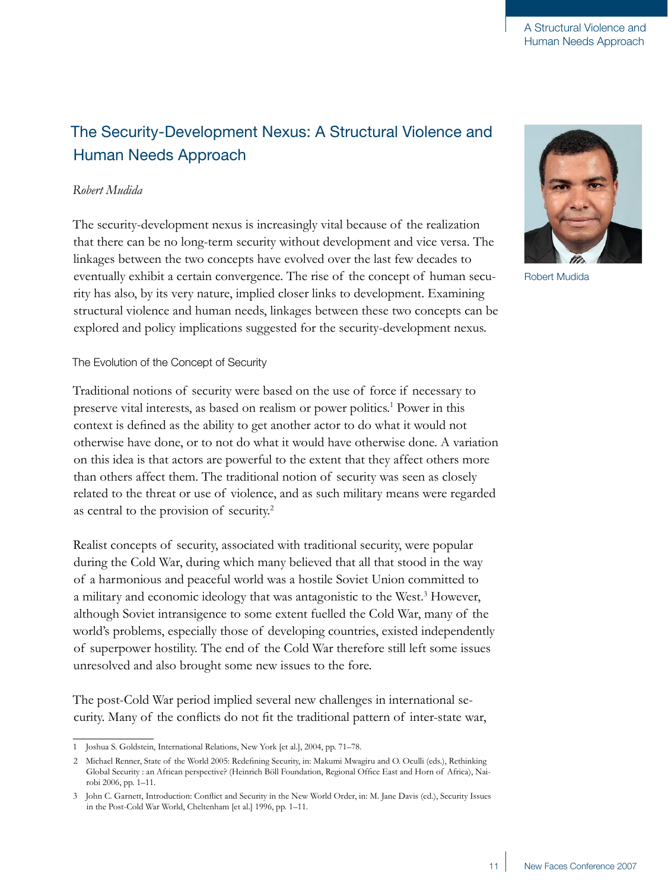# The Security-Development Nexus: A Structural Violence and Human Needs Approach

# *Robert Mudida*

The security-development nexus is increasingly vital because of the realization that there can be no long-term security without development and vice versa. The linkages between the two concepts have evolved over the last few decades to eventually exhibit a certain convergence. The rise of the concept of human security has also, by its very nature, implied closer links to development. Examining structural violence and human needs, linkages between these two concepts can be explored and policy implications suggested for the security-development nexus.

# The Evolution of the Concept of Security

Traditional notions of security were based on the use of force if necessary to preserve vital interests, as based on realism or power politics.<sup>1</sup> Power in this context is defined as the ability to get another actor to do what it would not otherwise have done, or to not do what it would have otherwise done. A variation on this idea is that actors are powerful to the extent that they affect others more than others affect them. The traditional notion of security was seen as closely related to the threat or use of violence, and as such military means were regarded as central to the provision of security.2

Realist concepts of security, associated with traditional security, were popular during the Cold War, during which many believed that all that stood in the way of a harmonious and peaceful world was a hostile Soviet Union committed to a military and economic ideology that was antagonistic to the West.<sup>3</sup> However, although Soviet intransigence to some extent fuelled the Cold War, many of the world's problems, especially those of developing countries, existed independently of superpower hostility. The end of the Cold War therefore still left some issues unresolved and also brought some new issues to the fore.

The post-Cold War period implied several new challenges in international security. Many of the conflicts do not fit the traditional pattern of inter-state war,



Robert Mudida

Joshua S. Goldstein, International Relations, New York [et al.], 2004, pp. 71–78.

<sup>2</sup> Michael Renner, State of the World 2005: Redefining Security, in: Makumi Mwagiru and O. Oculli (eds.), Rethinking Global Security : an African perspective? (Heinrich Böll Foundation, Regional Office East and Horn of Africa), Nairobi 2006, pp. 1–11.

John C. Garnett, Introduction: Conflict and Security in the New World Order, in: M. Jane Davis (ed.), Security Issues in the Post-Cold War World, Cheltenham [et al.] 1996, pp. 1–11.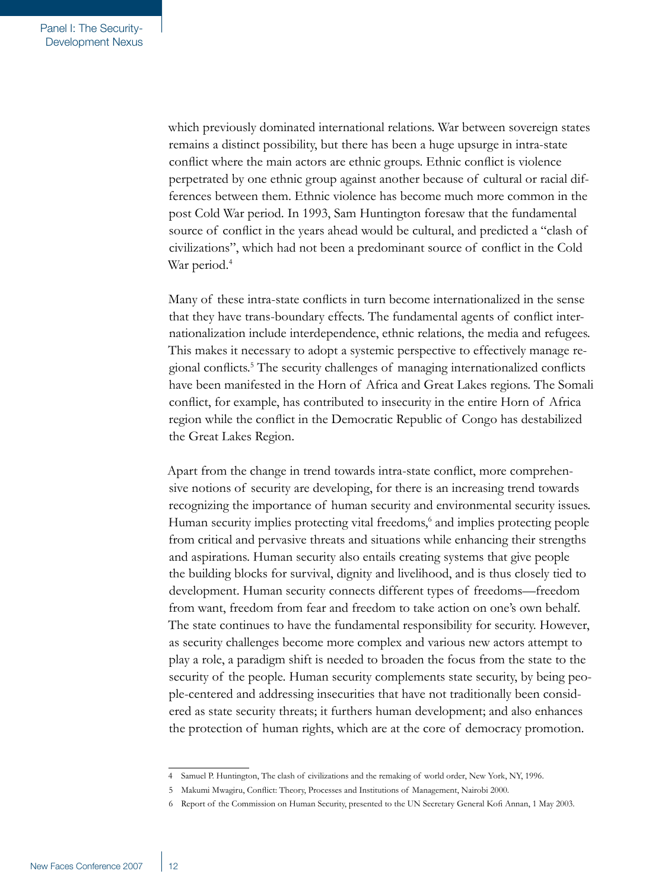which previously dominated international relations. War between sovereign states remains a distinct possibility, but there has been a huge upsurge in intra-state conflict where the main actors are ethnic groups. Ethnic conflict is violence perpetrated by one ethnic group against another because of cultural or racial differences between them. Ethnic violence has become much more common in the post Cold War period. In 1993, Sam Huntington foresaw that the fundamental source of conflict in the years ahead would be cultural, and predicted a "clash of civilizations", which had not been a predominant source of conflict in the Cold War period.<sup>4</sup>

Many of these intra-state conflicts in turn become internationalized in the sense that they have trans-boundary effects. The fundamental agents of conflict internationalization include interdependence, ethnic relations, the media and refugees. This makes it necessary to adopt a systemic perspective to effectively manage regional conflicts. The security challenges of managing internationalized conflicts have been manifested in the Horn of Africa and Great Lakes regions. The Somali conflict, for example, has contributed to insecurity in the entire Horn of Africa region while the conflict in the Democratic Republic of Congo has destabilized the Great Lakes Region.

Apart from the change in trend towards intra-state conflict, more comprehensive notions of security are developing, for there is an increasing trend towards recognizing the importance of human security and environmental security issues. Human security implies protecting vital freedoms,<sup>6</sup> and implies protecting people from critical and pervasive threats and situations while enhancing their strengths and aspirations. Human security also entails creating systems that give people the building blocks for survival, dignity and livelihood, and is thus closely tied to development. Human security connects different types of freedoms—freedom from want, freedom from fear and freedom to take action on one's own behalf. The state continues to have the fundamental responsibility for security. However, as security challenges become more complex and various new actors attempt to play a role, a paradigm shift is needed to broaden the focus from the state to the security of the people. Human security complements state security, by being people-centered and addressing insecurities that have not traditionally been considered as state security threats; it furthers human development; and also enhances the protection of human rights, which are at the core of democracy promotion.

Samuel P. Huntington, The clash of civilizations and the remaking of world order, New York, NY, 1996.

Makumi Mwagiru, Conflict: Theory, Processes and Institutions of Management, Nairobi 2000.

Report of the Commission on Human Security, presented to the UN Secretary General Kofi Annan, 1 May 2003.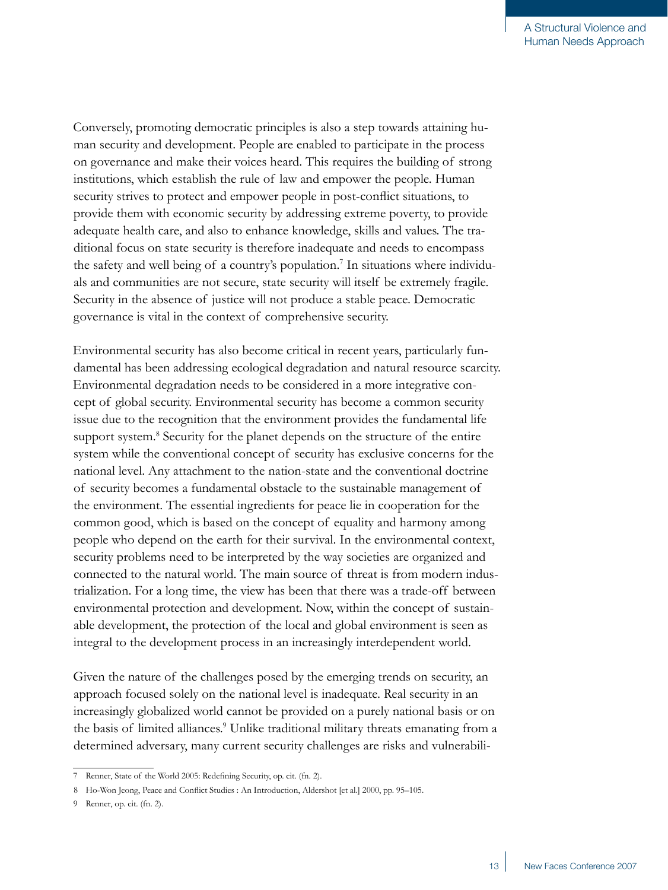Conversely, promoting democratic principles is also a step towards attaining human security and development. People are enabled to participate in the process on governance and make their voices heard. This requires the building of strong institutions, which establish the rule of law and empower the people. Human security strives to protect and empower people in post-conflict situations, to provide them with economic security by addressing extreme poverty, to provide adequate health care, and also to enhance knowledge, skills and values. The traditional focus on state security is therefore inadequate and needs to encompass the safety and well being of a country's population. In situations where individuals and communities are not secure, state security will itself be extremely fragile. Security in the absence of justice will not produce a stable peace. Democratic governance is vital in the context of comprehensive security.

Environmental security has also become critical in recent years, particularly fundamental has been addressing ecological degradation and natural resource scarcity. Environmental degradation needs to be considered in a more integrative concept of global security. Environmental security has become a common security issue due to the recognition that the environment provides the fundamental life support system.<sup>8</sup> Security for the planet depends on the structure of the entire system while the conventional concept of security has exclusive concerns for the national level. Any attachment to the nation-state and the conventional doctrine of security becomes a fundamental obstacle to the sustainable management of the environment. The essential ingredients for peace lie in cooperation for the common good, which is based on the concept of equality and harmony among people who depend on the earth for their survival. In the environmental context, security problems need to be interpreted by the way societies are organized and connected to the natural world. The main source of threat is from modern industrialization. For a long time, the view has been that there was a trade-off between environmental protection and development. Now, within the concept of sustainable development, the protection of the local and global environment is seen as integral to the development process in an increasingly interdependent world.

Given the nature of the challenges posed by the emerging trends on security, an approach focused solely on the national level is inadequate. Real security in an increasingly globalized world cannot be provided on a purely national basis or on the basis of limited alliances.<sup>9</sup> Unlike traditional military threats emanating from a determined adversary, many current security challenges are risks and vulnerabili-

Renner, State of the World 2005: Redefining Security, op. cit. (fn. 2).

Ho-Won Jeong, Peace and Conflict Studies : An Introduction, Aldershot [et al.] 2000, pp. 95–105.

Renner, op. cit. (fn. 2).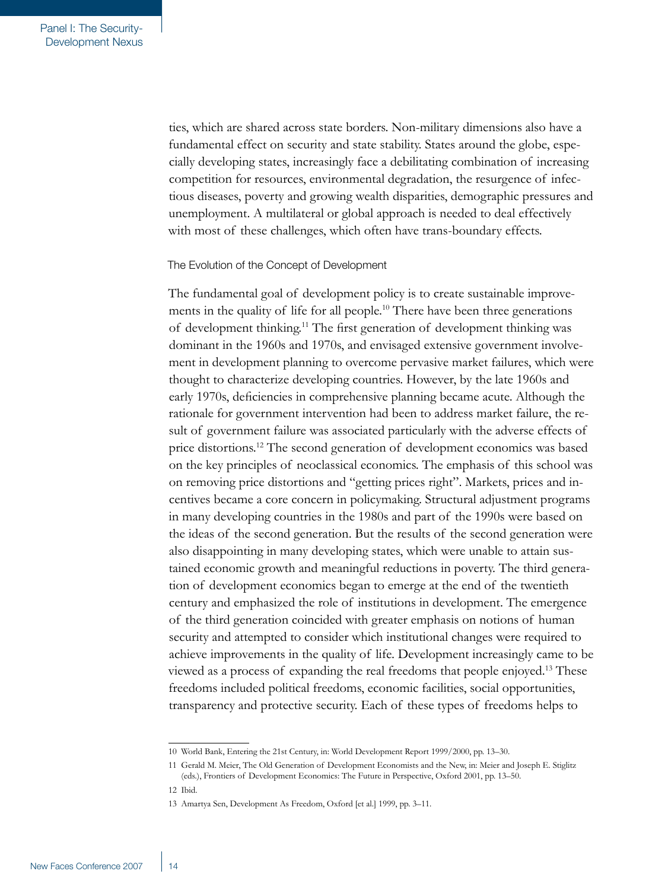ties, which are shared across state borders. Non-military dimensions also have a fundamental effect on security and state stability. States around the globe, especially developing states, increasingly face a debilitating combination of increasing competition for resources, environmental degradation, the resurgence of infectious diseases, poverty and growing wealth disparities, demographic pressures and unemployment. A multilateral or global approach is needed to deal effectively with most of these challenges, which often have trans-boundary effects.

#### The Evolution of the Concept of Development

The fundamental goal of development policy is to create sustainable improvements in the quality of life for all people.10 There have been three generations of development thinking.11 The first generation of development thinking was dominant in the 1960s and 1970s, and envisaged extensive government involvement in development planning to overcome pervasive market failures, which were thought to characterize developing countries. However, by the late 1960s and early 1970s, deficiencies in comprehensive planning became acute. Although the rationale for government intervention had been to address market failure, the result of government failure was associated particularly with the adverse effects of price distortions.12 The second generation of development economics was based on the key principles of neoclassical economics. The emphasis of this school was on removing price distortions and "getting prices right". Markets, prices and incentives became a core concern in policymaking. Structural adjustment programs in many developing countries in the 1980s and part of the 1990s were based on the ideas of the second generation. But the results of the second generation were also disappointing in many developing states, which were unable to attain sustained economic growth and meaningful reductions in poverty. The third generation of development economics began to emerge at the end of the twentieth century and emphasized the role of institutions in development. The emergence of the third generation coincided with greater emphasis on notions of human security and attempted to consider which institutional changes were required to achieve improvements in the quality of life. Development increasingly came to be viewed as a process of expanding the real freedoms that people enjoyed.13 These freedoms included political freedoms, economic facilities, social opportunities, transparency and protective security. Each of these types of freedoms helps to

<sup>10</sup> World Bank, Entering the 21st Century, in: World Development Report 1999/2000, pp. 13–30.

<sup>11</sup> Gerald M. Meier, The Old Generation of Development Economists and the New, in: Meier and Joseph E. Stiglitz (eds.), Frontiers of Development Economics: The Future in Perspective, Oxford 2001, pp. 13–50.

<sup>12</sup> Ibid.

<sup>13</sup> Amartya Sen, Development As Freedom, Oxford [et al.] 1999, pp. 3–11.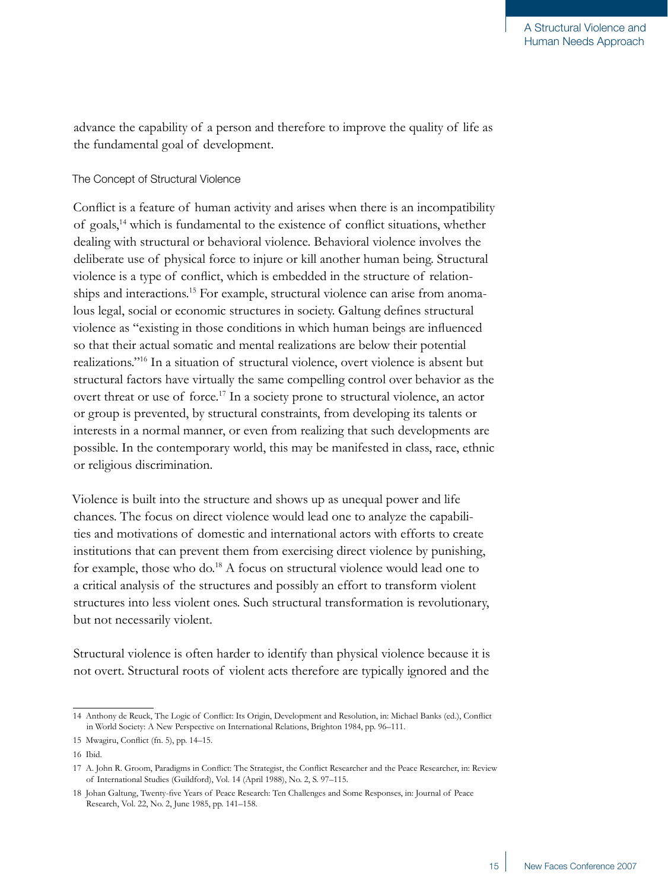advance the capability of a person and therefore to improve the quality of life as the fundamental goal of development.

## The Concept of Structural Violence

Conflict is a feature of human activity and arises when there is an incompatibility of goals,14 which is fundamental to the existence of conflict situations, whether dealing with structural or behavioral violence. Behavioral violence involves the deliberate use of physical force to injure or kill another human being. Structural violence is a type of conflict, which is embedded in the structure of relationships and interactions.<sup>15</sup> For example, structural violence can arise from anomalous legal, social or economic structures in society. Galtung defines structural violence as "existing in those conditions in which human beings are influenced so that their actual somatic and mental realizations are below their potential realizations."16 In a situation of structural violence, overt violence is absent but structural factors have virtually the same compelling control over behavior as the overt threat or use of force.<sup>17</sup> In a society prone to structural violence, an actor or group is prevented, by structural constraints, from developing its talents or interests in a normal manner, or even from realizing that such developments are possible. In the contemporary world, this may be manifested in class, race, ethnic or religious discrimination.

Violence is built into the structure and shows up as unequal power and life chances. The focus on direct violence would lead one to analyze the capabilities and motivations of domestic and international actors with efforts to create institutions that can prevent them from exercising direct violence by punishing, for example, those who do.<sup>18</sup> A focus on structural violence would lead one to a critical analysis of the structures and possibly an effort to transform violent structures into less violent ones. Such structural transformation is revolutionary, but not necessarily violent.

Structural violence is often harder to identify than physical violence because it is not overt. Structural roots of violent acts therefore are typically ignored and the

<sup>14</sup> Anthony de Reuck, The Logic of Conflict: Its Origin, Development and Resolution, in: Michael Banks (ed.), Conflict in World Society: A New Perspective on International Relations, Brighton 1984, pp. 96–111.

<sup>15</sup> Mwagiru, Conflict (fn. 5), pp. 14–15.

<sup>16</sup> Ibid.

<sup>17</sup> A. John R. Groom, Paradigms in Conflict: The Strategist, the Conflict Researcher and the Peace Researcher, in: Review of International Studies (Guildford), Vol. 14 (April 1988), No. 2, S. 97–115.

<sup>18</sup> Johan Galtung, Twenty-five Years of Peace Research: Ten Challenges and Some Responses, in: Journal of Peace Research, Vol. 22, No. 2, June 1985, pp. 141–158.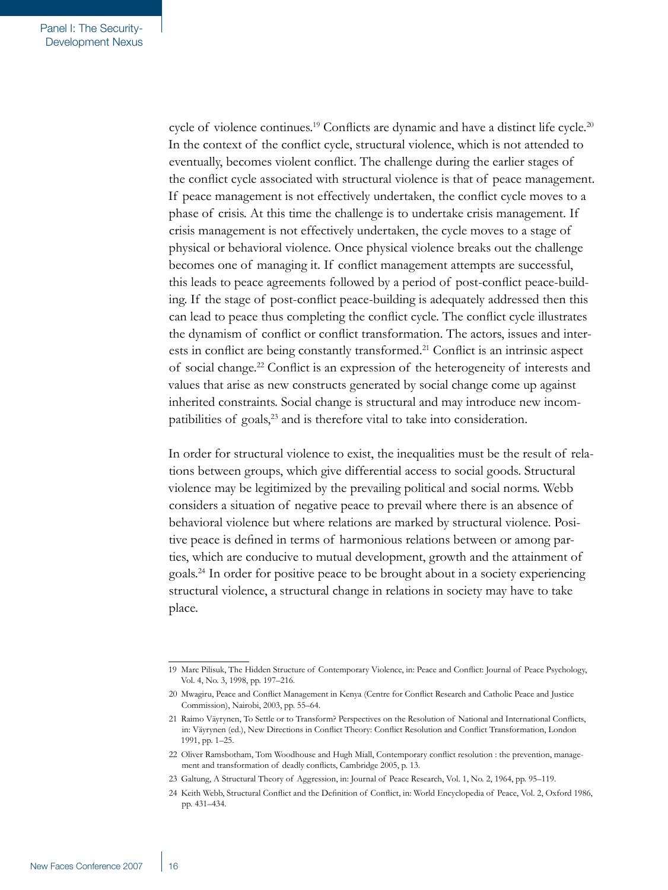cycle of violence continues.<sup>19</sup> Conflicts are dynamic and have a distinct life cycle.<sup>20</sup> In the context of the conflict cycle, structural violence, which is not attended to eventually, becomes violent conflict. The challenge during the earlier stages of the conflict cycle associated with structural violence is that of peace management. If peace management is not effectively undertaken, the conflict cycle moves to a phase of crisis. At this time the challenge is to undertake crisis management. If crisis management is not effectively undertaken, the cycle moves to a stage of physical or behavioral violence. Once physical violence breaks out the challenge becomes one of managing it. If conflict management attempts are successful, this leads to peace agreements followed by a period of post-conflict peace-building. If the stage of post-conflict peace-building is adequately addressed then this can lead to peace thus completing the conflict cycle. The conflict cycle illustrates the dynamism of conflict or conflict transformation. The actors, issues and interests in conflict are being constantly transformed.<sup>21</sup> Conflict is an intrinsic aspect of social change.22 Conflict is an expression of the heterogeneity of interests and values that arise as new constructs generated by social change come up against inherited constraints. Social change is structural and may introduce new incompatibilities of goals,<sup>23</sup> and is therefore vital to take into consideration.

In order for structural violence to exist, the inequalities must be the result of relations between groups, which give differential access to social goods. Structural violence may be legitimized by the prevailing political and social norms. Webb considers a situation of negative peace to prevail where there is an absence of behavioral violence but where relations are marked by structural violence. Positive peace is defined in terms of harmonious relations between or among parties, which are conducive to mutual development, growth and the attainment of goals.<sup>24</sup> In order for positive peace to be brought about in a society experiencing structural violence, a structural change in relations in society may have to take place.

<sup>19</sup> Marc Pilisuk, The Hidden Structure of Contemporary Violence, in: Peace and Conflict: Journal of Peace Psychology, Vol. 4, No. 3, 1998, pp. 197–216.

<sup>20</sup> Mwagiru, Peace and Conflict Management in Kenya (Centre for Conflict Research and Catholic Peace and Justice Commission), Nairobi, 2003, pp. 55–64.

<sup>21</sup> Raimo Väyrynen, To Settle or to Transform? Perspectives on the Resolution of National and International Conflicts, in: Väyrynen (ed.), New Directions in Conflict Theory: Conflict Resolution and Conflict Transformation, London 1991, pp. 1–25.

<sup>22</sup> Oliver Ramsbotham, Tom Woodhouse and Hugh Miall, Contemporary conflict resolution : the prevention, management and transformation of deadly conflicts, Cambridge 2005, p. 13.

<sup>23</sup> Galtung, A Structural Theory of Aggression, in: Journal of Peace Research, Vol. 1, No. 2, 1964, pp. 95–119.

<sup>24</sup> Keith Webb, Structural Conflict and the Definition of Conflict, in: World Encyclopedia of Peace, Vol. 2, Oxford 1986, pp. 431–434.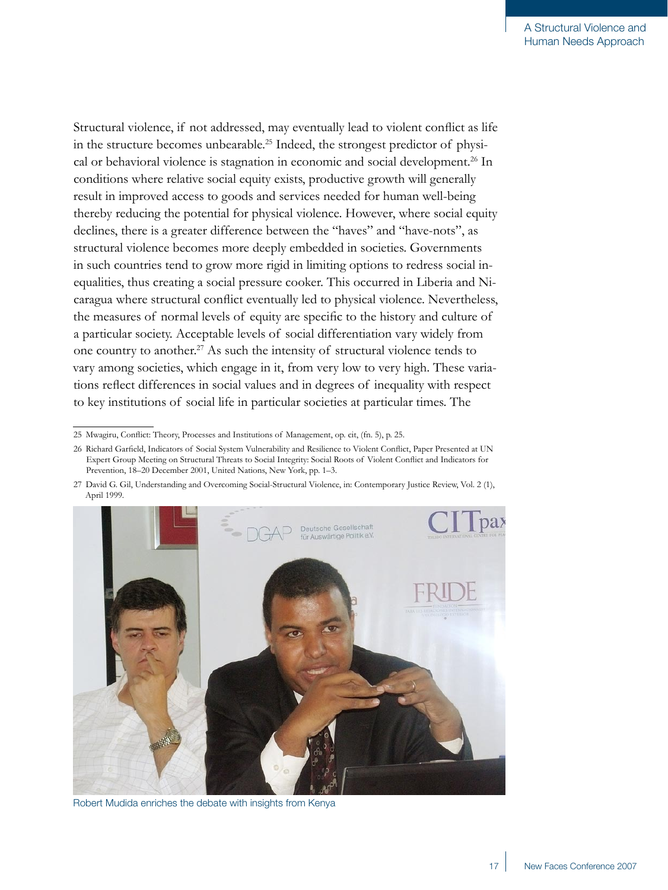Structural violence, if not addressed, may eventually lead to violent conflict as life in the structure becomes unbearable.25 Indeed, the strongest predictor of physical or behavioral violence is stagnation in economic and social development.<sup>26</sup> In conditions where relative social equity exists, productive growth will generally result in improved access to goods and services needed for human well-being thereby reducing the potential for physical violence. However, where social equity declines, there is a greater difference between the "haves" and "have-nots", as structural violence becomes more deeply embedded in societies. Governments in such countries tend to grow more rigid in limiting options to redress social inequalities, thus creating a social pressure cooker. This occurred in Liberia and Nicaragua where structural conflict eventually led to physical violence. Nevertheless, the measures of normal levels of equity are specific to the history and culture of a particular society. Acceptable levels of social differentiation vary widely from one country to another.<sup>27</sup> As such the intensity of structural violence tends to vary among societies, which engage in it, from very low to very high. These variations reflect differences in social values and in degrees of inequality with respect to key institutions of social life in particular societies at particular times. The

<sup>27</sup> David G. Gil, Understanding and Overcoming Social-Structural Violence, in: Contemporary Justice Review, Vol. 2 (1), April 1999.



Robert Mudida enriches the debate with insights from Kenya

<sup>25</sup> Mwagiru, Conflict: Theory, Processes and Institutions of Management, op. cit, (fn. 5), p. 25.

<sup>26</sup> Richard Garfield, Indicators of Social System Vulnerability and Resilience to Violent Conflict, Paper Presented at UN Expert Group Meeting on Structural Threats to Social Integrity: Social Roots of Violent Conflict and Indicators for Prevention, 18–20 December 2001, United Nations, New York, pp. 1–3.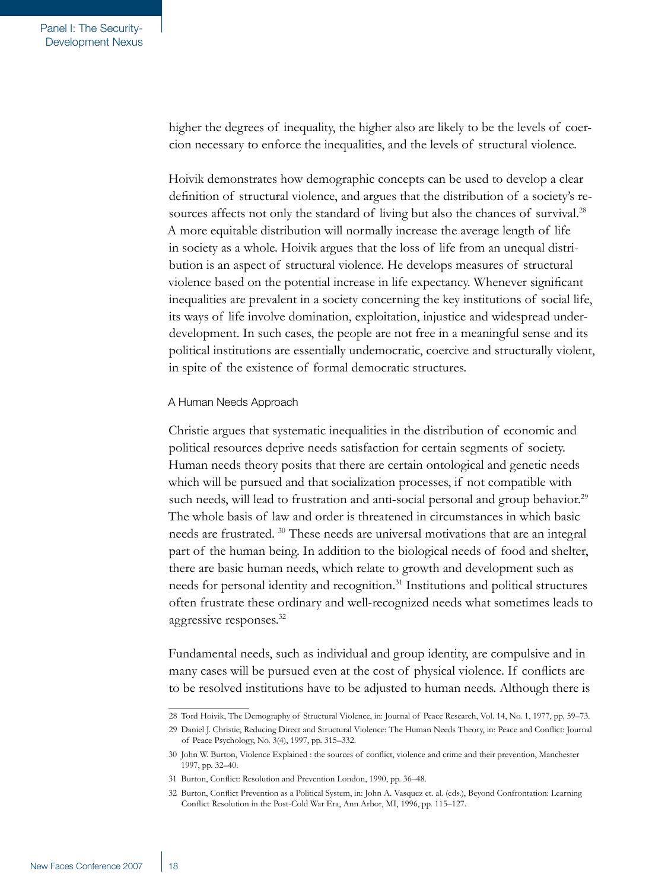higher the degrees of inequality, the higher also are likely to be the levels of coercion necessary to enforce the inequalities, and the levels of structural violence.

Hoivik demonstrates how demographic concepts can be used to develop a clear definition of structural violence, and argues that the distribution of a society's resources affects not only the standard of living but also the chances of survival.<sup>28</sup> A more equitable distribution will normally increase the average length of life in society as a whole. Hoivik argues that the loss of life from an unequal distribution is an aspect of structural violence. He develops measures of structural violence based on the potential increase in life expectancy. Whenever significant inequalities are prevalent in a society concerning the key institutions of social life, its ways of life involve domination, exploitation, injustice and widespread underdevelopment. In such cases, the people are not free in a meaningful sense and its political institutions are essentially undemocratic, coercive and structurally violent, in spite of the existence of formal democratic structures.

#### A Human Needs Approach

Christie argues that systematic inequalities in the distribution of economic and political resources deprive needs satisfaction for certain segments of society. Human needs theory posits that there are certain ontological and genetic needs which will be pursued and that socialization processes, if not compatible with such needs, will lead to frustration and anti-social personal and group behavior.<sup>29</sup> The whole basis of law and order is threatened in circumstances in which basic needs are frustrated. 30 These needs are universal motivations that are an integral part of the human being. In addition to the biological needs of food and shelter, there are basic human needs, which relate to growth and development such as needs for personal identity and recognition.31 Institutions and political structures often frustrate these ordinary and well-recognized needs what sometimes leads to aggressive responses.32

Fundamental needs, such as individual and group identity, are compulsive and in many cases will be pursued even at the cost of physical violence. If conflicts are to be resolved institutions have to be adjusted to human needs. Although there is

<sup>28</sup> Tord Hoivik, The Demography of Structural Violence, in: Journal of Peace Research, Vol. 14, No. 1, 1977, pp. 59–73.

<sup>29</sup> Daniel J. Christie, Reducing Direct and Structural Violence: The Human Needs Theory, in: Peace and Conflict: Journal of Peace Psychology, No. 3(4), 1997, pp. 315–332.

<sup>30</sup> John W. Burton, Violence Explained : the sources of conflict, violence and crime and their prevention, Manchester 1997, pp. 32–40.

<sup>31</sup> Burton, Conflict: Resolution and Prevention London, 1990, pp. 36–48.

<sup>32</sup> Burton, Conflict Prevention as a Political System, in: John A. Vasquez et. al. (eds.), Beyond Confrontation: Learning Conflict Resolution in the Post-Cold War Era, Ann Arbor, MI, 1996, pp. 115–127.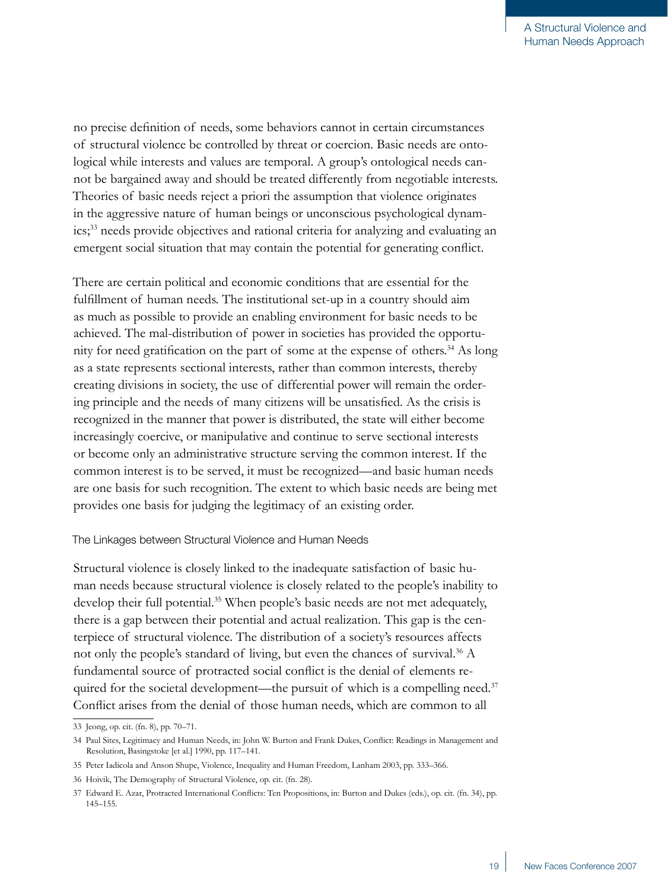no precise definition of needs, some behaviors cannot in certain circumstances of structural violence be controlled by threat or coercion. Basic needs are ontological while interests and values are temporal. A group's ontological needs cannot be bargained away and should be treated differently from negotiable interests. Theories of basic needs reject a priori the assumption that violence originates in the aggressive nature of human beings or unconscious psychological dynamics;33 needs provide objectives and rational criteria for analyzing and evaluating an emergent social situation that may contain the potential for generating conflict.

There are certain political and economic conditions that are essential for the fulfillment of human needs. The institutional set-up in a country should aim as much as possible to provide an enabling environment for basic needs to be achieved. The mal-distribution of power in societies has provided the opportunity for need gratification on the part of some at the expense of others.<sup>34</sup> As long as a state represents sectional interests, rather than common interests, thereby creating divisions in society, the use of differential power will remain the ordering principle and the needs of many citizens will be unsatisfied. As the crisis is recognized in the manner that power is distributed, the state will either become increasingly coercive, or manipulative and continue to serve sectional interests or become only an administrative structure serving the common interest. If the common interest is to be served, it must be recognized—and basic human needs are one basis for such recognition. The extent to which basic needs are being met provides one basis for judging the legitimacy of an existing order.

## The Linkages between Structural Violence and Human Needs

Structural violence is closely linked to the inadequate satisfaction of basic human needs because structural violence is closely related to the people's inability to develop their full potential.<sup>35</sup> When people's basic needs are not met adequately, there is a gap between their potential and actual realization. This gap is the centerpiece of structural violence. The distribution of a society's resources affects not only the people's standard of living, but even the chances of survival.<sup>36</sup> A fundamental source of protracted social conflict is the denial of elements required for the societal development—the pursuit of which is a compelling need.<sup>37</sup> Conflict arises from the denial of those human needs, which are common to all

<sup>33</sup> Jeong, op. cit. (fn. 8), pp. 70–71.

<sup>34</sup> Paul Sites, Legitimacy and Human Needs, in: John W. Burton and Frank Dukes, Conflict: Readings in Management and Resolution, Basingstoke [et al.] 1990, pp. 117–141.

<sup>35</sup> Peter Iadicola and Anson Shupe, Violence, Inequality and Human Freedom, Lanham 2003, pp. 333–366.

<sup>36</sup> Hoivik, The Demography of Structural Violence, op. cit. (fn. 28).

<sup>37</sup> Edward E. Azar, Protracted International Conflicts: Ten Propositions, in: Burton and Dukes (eds.), op. cit. (fn. 34), pp. 145–155.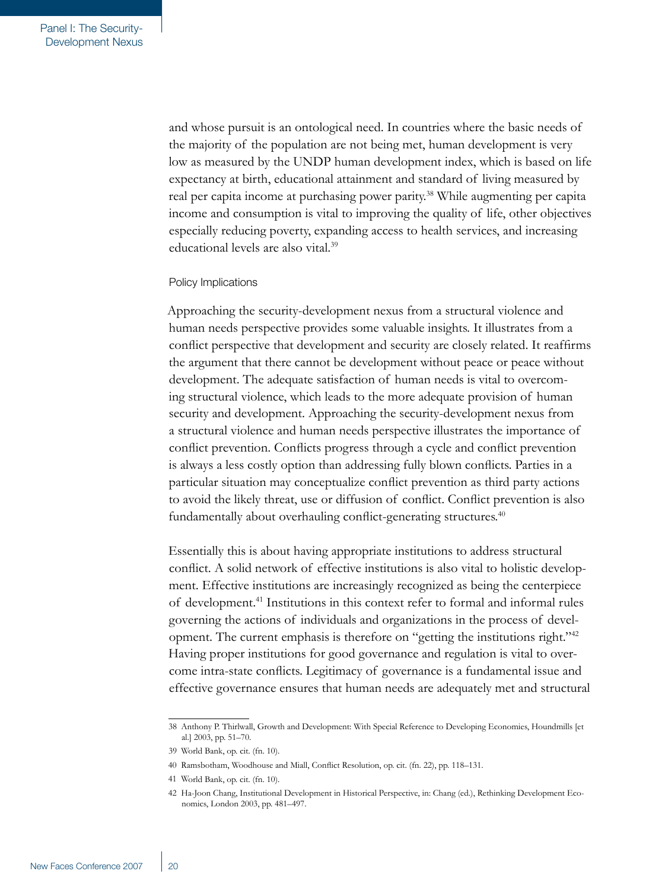and whose pursuit is an ontological need. In countries where the basic needs of the majority of the population are not being met, human development is very low as measured by the UNDP human development index, which is based on life expectancy at birth, educational attainment and standard of living measured by real per capita income at purchasing power parity.<sup>38</sup> While augmenting per capita income and consumption is vital to improving the quality of life, other objectives especially reducing poverty, expanding access to health services, and increasing educational levels are also vital.<sup>39</sup>

## Policy Implications

Approaching the security-development nexus from a structural violence and human needs perspective provides some valuable insights. It illustrates from a conflict perspective that development and security are closely related. It reaffirms the argument that there cannot be development without peace or peace without development. The adequate satisfaction of human needs is vital to overcoming structural violence, which leads to the more adequate provision of human security and development. Approaching the security-development nexus from a structural violence and human needs perspective illustrates the importance of conflict prevention. Conflicts progress through a cycle and conflict prevention is always a less costly option than addressing fully blown conflicts. Parties in a particular situation may conceptualize conflict prevention as third party actions to avoid the likely threat, use or diffusion of conflict. Conflict prevention is also fundamentally about overhauling conflict-generating structures.<sup>40</sup>

Essentially this is about having appropriate institutions to address structural conflict. A solid network of effective institutions is also vital to holistic development. Effective institutions are increasingly recognized as being the centerpiece of development.<sup>41</sup> Institutions in this context refer to formal and informal rules governing the actions of individuals and organizations in the process of development. The current emphasis is therefore on "getting the institutions right."<sup>42</sup> Having proper institutions for good governance and regulation is vital to overcome intra-state conflicts. Legitimacy of governance is a fundamental issue and effective governance ensures that human needs are adequately met and structural

<sup>38</sup> Anthony P. Thirlwall, Growth and Development: With Special Reference to Developing Economies, Houndmills [et al.] 2003, pp. 51–70.

<sup>39</sup> World Bank, op. cit. (fn. 10).

<sup>40</sup> Ramsbotham, Woodhouse and Miall, Conflict Resolution, op. cit. (fn. 22), pp. 118–131.

<sup>41</sup> World Bank, op. cit. (fn. 10).

<sup>42</sup> Ha-Joon Chang, Institutional Development in Historical Perspective, in: Chang (ed.), Rethinking Development Economics, London 2003, pp. 481–497.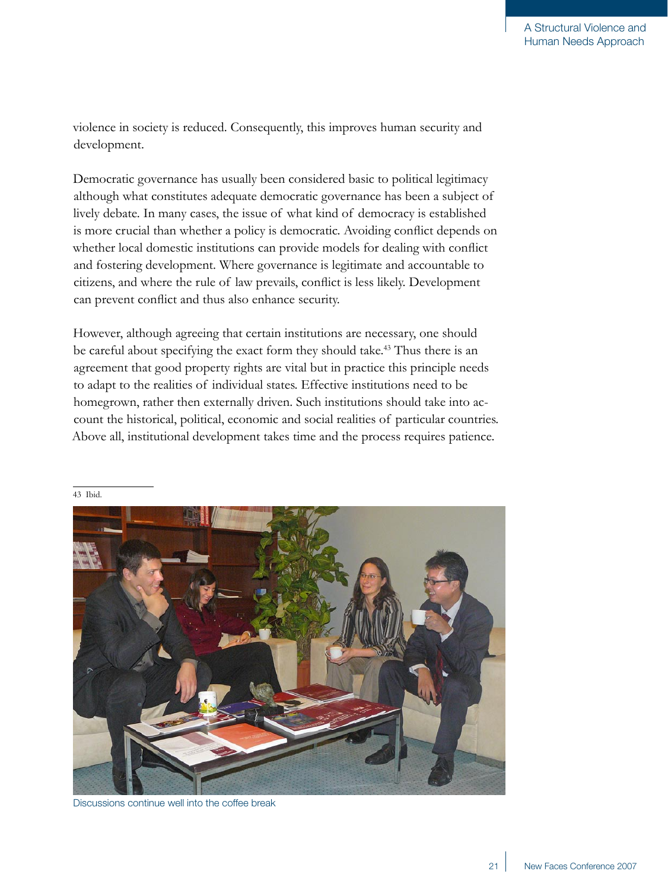violence in society is reduced. Consequently, this improves human security and development.

Democratic governance has usually been considered basic to political legitimacy although what constitutes adequate democratic governance has been a subject of lively debate. In many cases, the issue of what kind of democracy is established is more crucial than whether a policy is democratic. Avoiding conflict depends on whether local domestic institutions can provide models for dealing with conflict and fostering development. Where governance is legitimate and accountable to citizens, and where the rule of law prevails, conflict is less likely. Development can prevent conflict and thus also enhance security.

However, although agreeing that certain institutions are necessary, one should be careful about specifying the exact form they should take.<sup>43</sup> Thus there is an agreement that good property rights are vital but in practice this principle needs to adapt to the realities of individual states. Effective institutions need to be homegrown, rather then externally driven. Such institutions should take into account the historical, political, economic and social realities of particular countries. Above all, institutional development takes time and the process requires patience.



Discussions continue well into the coffee break

43 Ibid.